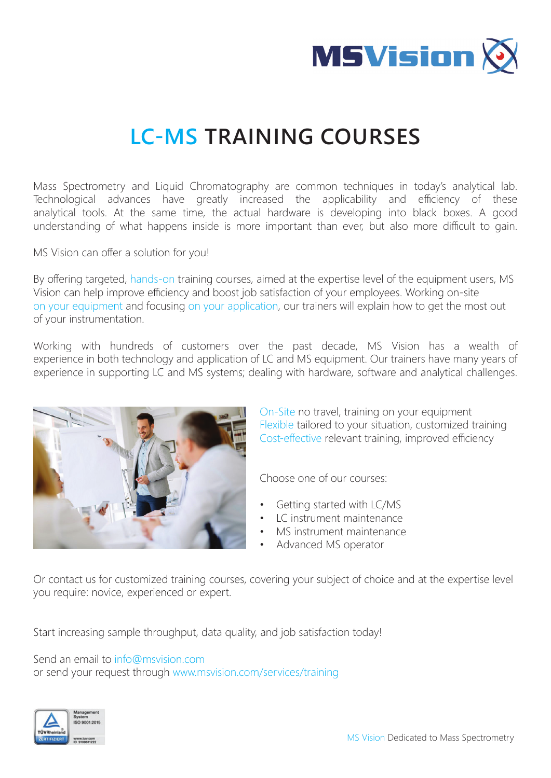

# **LC-MS TRAINING COURSES**

Mass Spectrometry and Liquid Chromatography are common techniques in today's analytical lab. Technological advances have greatly increased the applicability and efficiency of these analytical tools. At the same time, the actual hardware is developing into black boxes. A good understanding of what happens inside is more important than ever, but also more difficult to gain.

MS Vision can offer a solution for you!

By offering targeted, hands-on training courses, aimed at the expertise level of the equipment users, MS Vision can help improve efficiency and boost job satisfaction of your employees. Working on-site on your equipment and focusing on your application, our trainers will explain how to get the most out of your instrumentation.

Working with hundreds of customers over the past decade, MS Vision has a wealth of experience in both technology and application of LC and MS equipment. Our trainers have many years of experience in supporting LC and MS systems; dealing with hardware, software and analytical challenges.



On-Site no travel, training on your equipment Flexible tailored to your situation, customized training Cost-effective relevant training, improved efficiency

Choose one of our courses:

- Getting started with LC/MS
- LC instrument maintenance
- MS instrument maintenance
- Advanced MS operator

Or contact us for customized training courses, covering your subject of choice and at the expertise level you require: novice, experienced or expert.

Start increasing sample throughput, data quality, and job satisfaction today!

Send an email to info@msvision.com or send your request through www.msvision.com/services/training